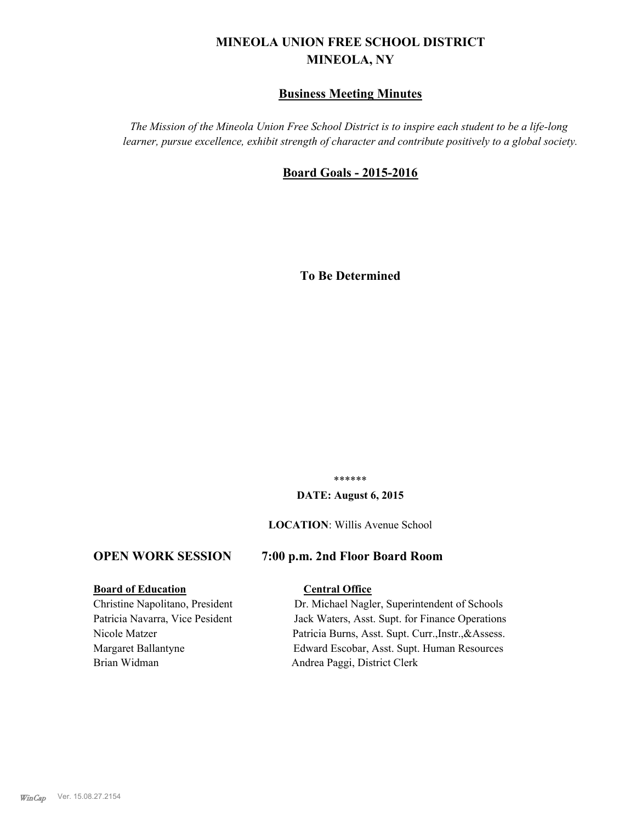# **MINEOLA UNION FREE SCHOOL DISTRICT MINEOLA, NY**

# **Business Meeting Minutes**

*The Mission of the Mineola Union Free School District is to inspire each student to be a life-long learner, pursue excellence, exhibit strength of character and contribute positively to a global society.*

# **Board Goals - 2015-2016**

**To Be Determined**

\*\*\*\*\*\*

### **DATE: August 6, 2015**

#### **LOCATION**: Willis Avenue School

# **OPEN WORK SESSION 7:00 p.m. 2nd Floor Board Room**

### **Board of Education Central Office**

Brian Widman Andrea Paggi, District Clerk

Christine Napolitano, President Dr. Michael Nagler, Superintendent of Schools Patricia Navarra, Vice Pesident Jack Waters, Asst. Supt. for Finance Operations Nicole Matzer Patricia Burns, Asst. Supt. Curr.,Instr.,&Assess. Margaret Ballantyne Edward Escobar, Asst. Supt. Human Resources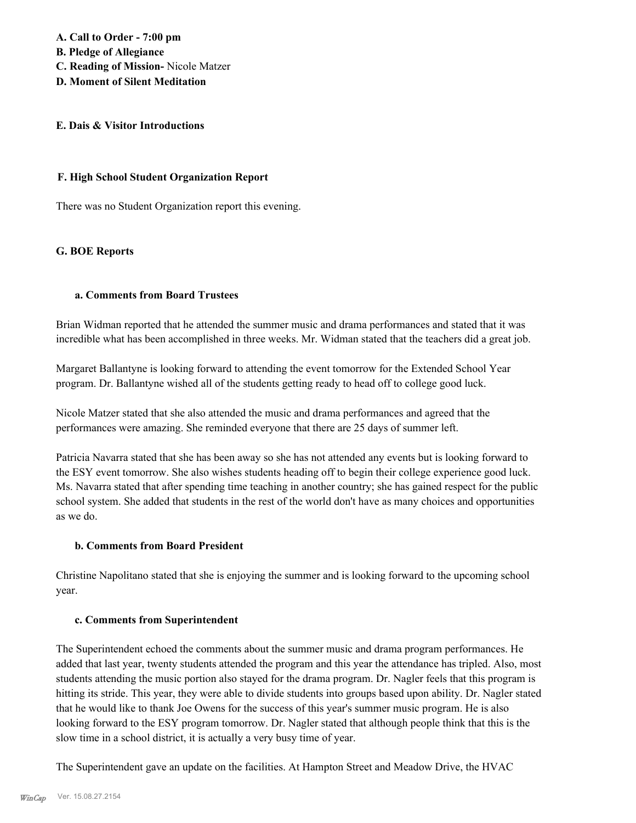**A. Call to Order - 7:00 pm B. Pledge of Allegiance C. Reading of Mission-** Nicole Matzer

# **D. Moment of Silent Meditation**

# **E. Dais & Visitor Introductions**

# **F. High School Student Organization Report**

There was no Student Organization report this evening.

# **G. BOE Reports**

# **a. Comments from Board Trustees**

Brian Widman reported that he attended the summer music and drama performances and stated that it was incredible what has been accomplished in three weeks. Mr. Widman stated that the teachers did a great job.

Margaret Ballantyne is looking forward to attending the event tomorrow for the Extended School Year program. Dr. Ballantyne wished all of the students getting ready to head off to college good luck.

Nicole Matzer stated that she also attended the music and drama performances and agreed that the performances were amazing. She reminded everyone that there are 25 days of summer left.

Patricia Navarra stated that she has been away so she has not attended any events but is looking forward to the ESY event tomorrow. She also wishes students heading off to begin their college experience good luck. Ms. Navarra stated that after spending time teaching in another country; she has gained respect for the public school system. She added that students in the rest of the world don't have as many choices and opportunities as we do.

# **b. Comments from Board President**

Christine Napolitano stated that she is enjoying the summer and is looking forward to the upcoming school year.

# **c. Comments from Superintendent**

The Superintendent echoed the comments about the summer music and drama program performances. He added that last year, twenty students attended the program and this year the attendance has tripled. Also, most students attending the music portion also stayed for the drama program. Dr. Nagler feels that this program is hitting its stride. This year, they were able to divide students into groups based upon ability. Dr. Nagler stated that he would like to thank Joe Owens for the success of this year's summer music program. He is also looking forward to the ESY program tomorrow. Dr. Nagler stated that although people think that this is the slow time in a school district, it is actually a very busy time of year.

The Superintendent gave an update on the facilities. At Hampton Street and Meadow Drive, the HVAC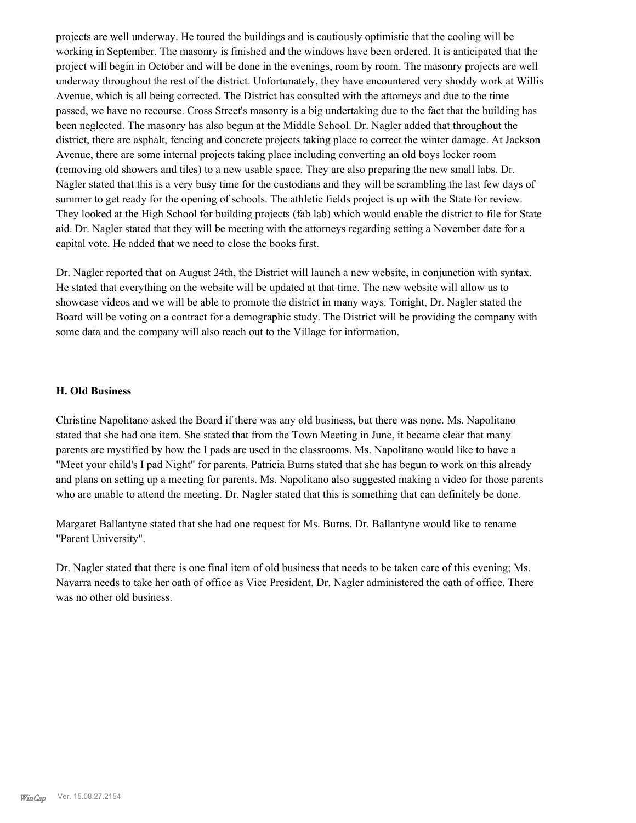projects are well underway. He toured the buildings and is cautiously optimistic that the cooling will be working in September. The masonry is finished and the windows have been ordered. It is anticipated that the project will begin in October and will be done in the evenings, room by room. The masonry projects are well underway throughout the rest of the district. Unfortunately, they have encountered very shoddy work at Willis Avenue, which is all being corrected. The District has consulted with the attorneys and due to the time passed, we have no recourse. Cross Street's masonry is a big undertaking due to the fact that the building has been neglected. The masonry has also begun at the Middle School. Dr. Nagler added that throughout the district, there are asphalt, fencing and concrete projects taking place to correct the winter damage. At Jackson Avenue, there are some internal projects taking place including converting an old boys locker room (removing old showers and tiles) to a new usable space. They are also preparing the new small labs. Dr. Nagler stated that this is a very busy time for the custodians and they will be scrambling the last few days of summer to get ready for the opening of schools. The athletic fields project is up with the State for review. They looked at the High School for building projects (fab lab) which would enable the district to file for State aid. Dr. Nagler stated that they will be meeting with the attorneys regarding setting a November date for a capital vote. He added that we need to close the books first.

Dr. Nagler reported that on August 24th, the District will launch a new website, in conjunction with syntax. He stated that everything on the website will be updated at that time. The new website will allow us to showcase videos and we will be able to promote the district in many ways. Tonight, Dr. Nagler stated the Board will be voting on a contract for a demographic study. The District will be providing the company with some data and the company will also reach out to the Village for information.

# **H. Old Business**

Christine Napolitano asked the Board if there was any old business, but there was none. Ms. Napolitano stated that she had one item. She stated that from the Town Meeting in June, it became clear that many parents are mystified by how the I pads are used in the classrooms. Ms. Napolitano would like to have a "Meet your child's I pad Night" for parents. Patricia Burns stated that she has begun to work on this already and plans on setting up a meeting for parents. Ms. Napolitano also suggested making a video for those parents who are unable to attend the meeting. Dr. Nagler stated that this is something that can definitely be done.

Margaret Ballantyne stated that she had one request for Ms. Burns. Dr. Ballantyne would like to rename "Parent University".

Dr. Nagler stated that there is one final item of old business that needs to be taken care of this evening; Ms. Navarra needs to take her oath of office as Vice President. Dr. Nagler administered the oath of office. There was no other old business.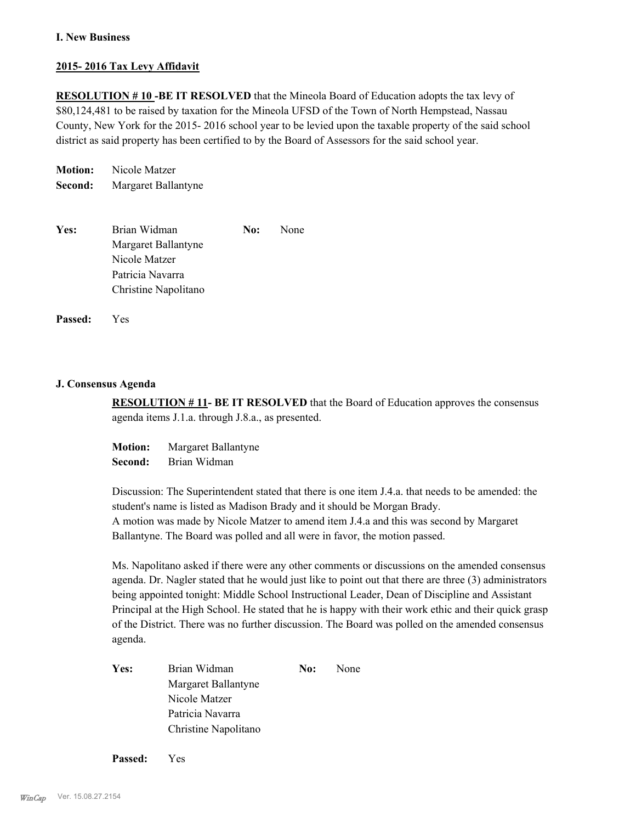# **I. New Business**

# **2015- 2016 Tax Levy Affidavit**

**RESOLUTION # 10 -BE IT RESOLVED** that the Mineola Board of Education adopts the tax levy of \$80,124,481 to be raised by taxation for the Mineola UFSD of the Town of North Hempstead, Nassau County, New York for the 2015- 2016 school year to be levied upon the taxable property of the said school district as said property has been certified to by the Board of Assessors for the said school year.

**Motion:** Nicole Matzer **Second:** Margaret Ballantyne

| Yes: | Brian Widman         | No: | None |
|------|----------------------|-----|------|
|      | Margaret Ballantyne  |     |      |
|      | Nicole Matzer        |     |      |
|      | Patricia Navarra     |     |      |
|      | Christine Napolitano |     |      |

**Passed:** Yes

# **J. Consensus Agenda**

**RESOLUTION # 11- BE IT RESOLVED** that the Board of Education approves the consensus agenda items J.1.a. through J.8.a., as presented.

**Motion:** Margaret Ballantyne **Second:** Brian Widman

Discussion: The Superintendent stated that there is one item J.4.a. that needs to be amended: the student's name is listed as Madison Brady and it should be Morgan Brady. A motion was made by Nicole Matzer to amend item J.4.a and this was second by Margaret Ballantyne. The Board was polled and all were in favor, the motion passed.

Ms. Napolitano asked if there were any other comments or discussions on the amended consensus agenda. Dr. Nagler stated that he would just like to point out that there are three (3) administrators being appointed tonight: Middle School Instructional Leader, Dean of Discipline and Assistant Principal at the High School. He stated that he is happy with their work ethic and their quick grasp of the District. There was no further discussion. The Board was polled on the amended consensus agenda.

| Yes: | Brian Widman         | No: | None |
|------|----------------------|-----|------|
|      | Margaret Ballantyne  |     |      |
|      | Nicole Matzer        |     |      |
|      | Patricia Navarra     |     |      |
|      | Christine Napolitano |     |      |
|      |                      |     |      |

**Passed:** Yes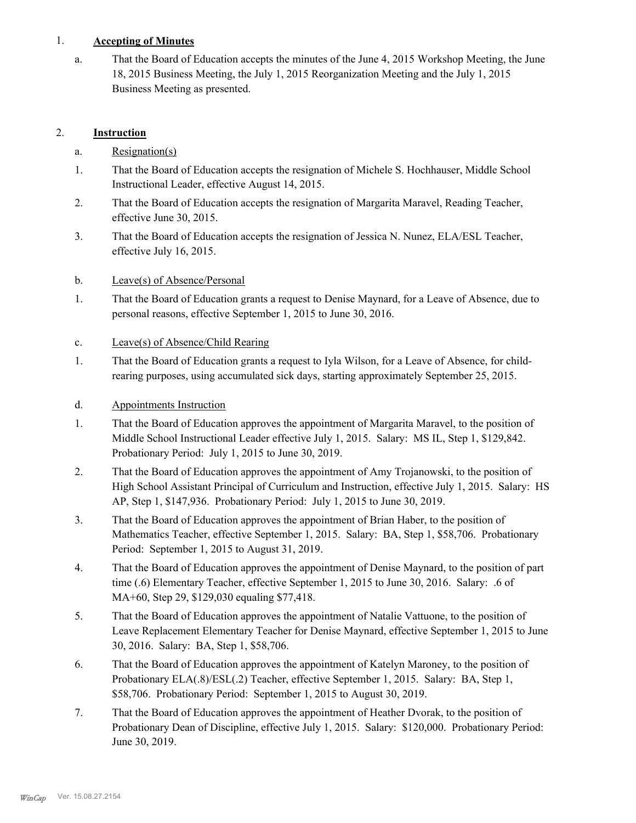# 1. **Accepting of Minutes**

That the Board of Education accepts the minutes of the June 4, 2015 Workshop Meeting, the June 18, 2015 Business Meeting, the July 1, 2015 Reorganization Meeting and the July 1, 2015 Business Meeting as presented. a.

# 2. **Instruction**

- a. Resignation(s)
- That the Board of Education accepts the resignation of Michele S. Hochhauser, Middle School Instructional Leader, effective August 14, 2015. 1.
- That the Board of Education accepts the resignation of Margarita Maravel, Reading Teacher, effective June 30, 2015. 2.
- That the Board of Education accepts the resignation of Jessica N. Nunez, ELA/ESL Teacher, effective July 16, 2015. 3.
- b. Leave(s) of Absence/Personal
- That the Board of Education grants a request to Denise Maynard, for a Leave of Absence, due to personal reasons, effective September 1, 2015 to June 30, 2016. 1.
- c. Leave(s) of Absence/Child Rearing
- That the Board of Education grants a request to Iyla Wilson, for a Leave of Absence, for childrearing purposes, using accumulated sick days, starting approximately September 25, 2015. 1.
- d. Appointments Instruction
- That the Board of Education approves the appointment of Margarita Maravel, to the position of Middle School Instructional Leader effective July 1, 2015. Salary: MS IL, Step 1, \$129,842. Probationary Period: July 1, 2015 to June 30, 2019. 1.
- That the Board of Education approves the appointment of Amy Trojanowski, to the position of High School Assistant Principal of Curriculum and Instruction, effective July 1, 2015. Salary: HS AP, Step 1, \$147,936. Probationary Period: July 1, 2015 to June 30, 2019. 2.
- That the Board of Education approves the appointment of Brian Haber, to the position of Mathematics Teacher, effective September 1, 2015. Salary: BA, Step 1, \$58,706. Probationary Period: September 1, 2015 to August 31, 2019. 3.
- That the Board of Education approves the appointment of Denise Maynard, to the position of part time (.6) Elementary Teacher, effective September 1, 2015 to June 30, 2016. Salary: .6 of MA+60, Step 29, \$129,030 equaling \$77,418. 4.
- That the Board of Education approves the appointment of Natalie Vattuone, to the position of Leave Replacement Elementary Teacher for Denise Maynard, effective September 1, 2015 to June 30, 2016. Salary: BA, Step 1, \$58,706. 5.
- That the Board of Education approves the appointment of Katelyn Maroney, to the position of Probationary ELA(.8)/ESL(.2) Teacher, effective September 1, 2015. Salary: BA, Step 1, \$58,706. Probationary Period: September 1, 2015 to August 30, 2019. 6.
- That the Board of Education approves the appointment of Heather Dvorak, to the position of Probationary Dean of Discipline, effective July 1, 2015. Salary: \$120,000. Probationary Period: June 30, 2019. 7.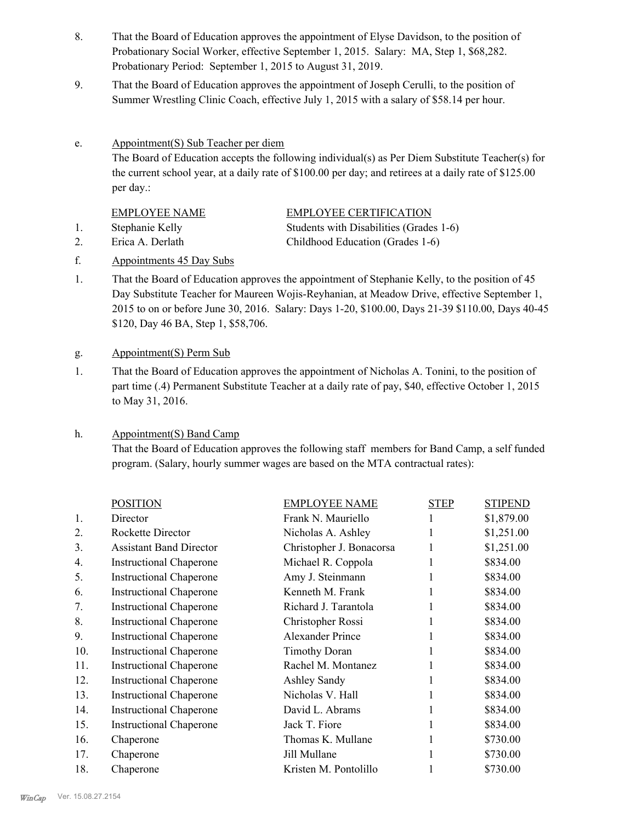- That the Board of Education approves the appointment of Elyse Davidson, to the position of Probationary Social Worker, effective September 1, 2015. Salary: MA, Step 1, \$68,282. Probationary Period: September 1, 2015 to August 31, 2019. 8.
- That the Board of Education approves the appointment of Joseph Cerulli, to the position of Summer Wrestling Clinic Coach, effective July 1, 2015 with a salary of \$58.14 per hour. 9.
- Appointment(S) Sub Teacher per diem The Board of Education accepts the following individual(s) as Per Diem Substitute Teacher(s) for the current school year, at a daily rate of \$100.00 per day; and retirees at a daily rate of \$125.00 per day.: e.

| <b>EMPLOYEE NAME</b> | <b>EMPLOYEE CERTIFICATION</b>           |
|----------------------|-----------------------------------------|
| Stephanie Kelly      | Students with Disabilities (Grades 1-6) |

2. Erica A. Derlath Childhood Education (Grades 1-6)

- f. Appointments 45 Day Subs
- That the Board of Education approves the appointment of Stephanie Kelly, to the position of 45 Day Substitute Teacher for Maureen Wojis-Reyhanian, at Meadow Drive, effective September 1, 2015 to on or before June 30, 2016. Salary: Days 1-20, \$100.00, Days 21-39 \$110.00, Days 40-45 \$120, Day 46 BA, Step 1, \$58,706. 1.

# g. Appointment(S) Perm Sub

That the Board of Education approves the appointment of Nicholas A. Tonini, to the position of part time (.4) Permanent Substitute Teacher at a daily rate of pay, \$40, effective October 1, 2015 to May 31, 2016. 1.

#### Appointment(S) Band Camp h.

That the Board of Education approves the following staff members for Band Camp, a self funded program. (Salary, hourly summer wages are based on the MTA contractual rates):

|                  | <b>POSITION</b>                | <b>EMPLOYEE NAME</b>     | <b>STEP</b> | <b>STIPEND</b> |
|------------------|--------------------------------|--------------------------|-------------|----------------|
| $\mathbf{1}$ .   | Director                       | Frank N. Mauriello       |             | \$1,879.00     |
| $\overline{2}$ . | Rockette Director              | Nicholas A. Ashley       |             | \$1,251.00     |
| 3.               | <b>Assistant Band Director</b> | Christopher J. Bonacorsa | 1           | \$1,251.00     |
| 4.               | <b>Instructional Chaperone</b> | Michael R. Coppola       |             | \$834.00       |
| 5.               | <b>Instructional Chaperone</b> | Amy J. Steinmann         |             | \$834.00       |
| 6.               | <b>Instructional Chaperone</b> | Kenneth M. Frank         |             | \$834.00       |
| 7.               | <b>Instructional Chaperone</b> | Richard J. Tarantola     |             | \$834.00       |
| 8.               | <b>Instructional Chaperone</b> | Christopher Rossi        |             | \$834.00       |
| 9.               | <b>Instructional Chaperone</b> | Alexander Prince         |             | \$834.00       |
| 10.              | <b>Instructional Chaperone</b> | <b>Timothy Doran</b>     |             | \$834.00       |
| 11.              | <b>Instructional Chaperone</b> | Rachel M. Montanez       |             | \$834.00       |
| 12.              | <b>Instructional Chaperone</b> | Ashley Sandy             |             | \$834.00       |
| 13.              | <b>Instructional Chaperone</b> | Nicholas V. Hall         |             | \$834.00       |
| 14.              | <b>Instructional Chaperone</b> | David L. Abrams          |             | \$834.00       |
| 15.              | <b>Instructional Chaperone</b> | Jack T. Fiore            |             | \$834.00       |
| 16.              | Chaperone                      | Thomas K. Mullane        |             | \$730.00       |
| 17.              | Chaperone                      | Jill Mullane             |             | \$730.00       |
| 18.              | Chaperone                      | Kristen M. Pontolillo    |             | \$730.00       |
|                  |                                |                          |             |                |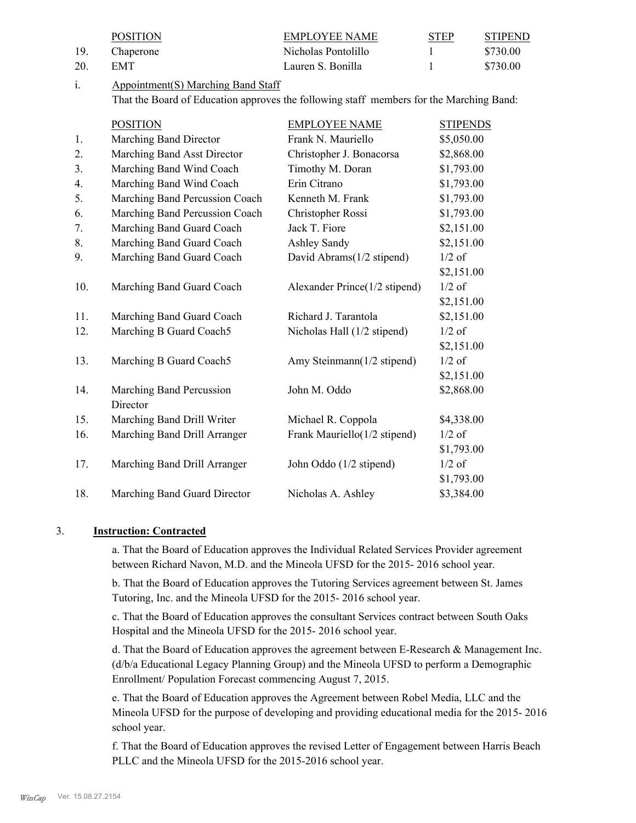|     | <b>POSITION</b>                                                                         | <b>EMPLOYEE NAME</b>          | <b>STEP</b>     | <b>STIPEND</b> |
|-----|-----------------------------------------------------------------------------------------|-------------------------------|-----------------|----------------|
| 19. | Chaperone                                                                               | Nicholas Pontolillo           | 1               | \$730.00       |
| 20. | <b>EMT</b>                                                                              | Lauren S. Bonilla             | 1               | \$730.00       |
| i.  | <b>Appointment(S) Marching Band Staff</b>                                               |                               |                 |                |
|     | That the Board of Education approves the following staff members for the Marching Band: |                               |                 |                |
|     | <b>POSITION</b>                                                                         | <b>EMPLOYEE NAME</b>          | <b>STIPENDS</b> |                |
| 1.  | Marching Band Director                                                                  | Frank N. Mauriello            | \$5,050.00      |                |
| 2.  | Marching Band Asst Director                                                             | Christopher J. Bonacorsa      | \$2,868.00      |                |
| 3.  | Marching Band Wind Coach                                                                | Timothy M. Doran              | \$1,793.00      |                |
| 4.  | Marching Band Wind Coach                                                                | Erin Citrano                  | \$1,793.00      |                |
| 5.  | Marching Band Percussion Coach                                                          | Kenneth M. Frank              | \$1,793.00      |                |
| 6.  | Marching Band Percussion Coach                                                          | Christopher Rossi             | \$1,793.00      |                |
| 7.  | Marching Band Guard Coach                                                               | Jack T. Fiore                 | \$2,151.00      |                |
| 8.  | Marching Band Guard Coach                                                               | Ashley Sandy                  | \$2,151.00      |                |
| 9.  | Marching Band Guard Coach                                                               | David Abrams(1/2 stipend)     | $1/2$ of        |                |
|     |                                                                                         |                               | \$2,151.00      |                |
| 10. | Marching Band Guard Coach                                                               | Alexander Prince(1/2 stipend) | $1/2$ of        |                |
|     |                                                                                         |                               | \$2,151.00      |                |
| 11. | Marching Band Guard Coach                                                               | Richard J. Tarantola          | \$2,151.00      |                |
| 12. | Marching B Guard Coach5                                                                 | Nicholas Hall (1/2 stipend)   | $1/2$ of        |                |
|     |                                                                                         |                               | \$2,151.00      |                |
| 13. | Marching B Guard Coach5                                                                 | Amy Steinmann(1/2 stipend)    | $1/2$ of        |                |
|     |                                                                                         |                               | \$2,151.00      |                |
| 14. | Marching Band Percussion                                                                | John M. Oddo                  | \$2,868.00      |                |
|     | Director                                                                                |                               |                 |                |
| 15. | Marching Band Drill Writer                                                              | Michael R. Coppola            | \$4,338.00      |                |
| 16. | Marching Band Drill Arranger                                                            | Frank Mauriello(1/2 stipend)  | $1/2$ of        |                |
|     |                                                                                         |                               | \$1,793.00      |                |
| 17. | Marching Band Drill Arranger                                                            | John Oddo (1/2 stipend)       | $1/2$ of        |                |
|     |                                                                                         |                               | \$1,793.00      |                |
| 18. | Marching Band Guard Director                                                            | Nicholas A. Ashley            | \$3,384.00      |                |
|     |                                                                                         |                               |                 |                |

# 3. **Instruction: Contracted**

a. That the Board of Education approves the Individual Related Services Provider agreement between Richard Navon, M.D. and the Mineola UFSD for the 2015- 2016 school year.

b. That the Board of Education approves the Tutoring Services agreement between St. James Tutoring, Inc. and the Mineola UFSD for the 2015- 2016 school year.

c. That the Board of Education approves the consultant Services contract between South Oaks Hospital and the Mineola UFSD for the 2015- 2016 school year.

d. That the Board of Education approves the agreement between E-Research & Management Inc. (d/b/a Educational Legacy Planning Group) and the Mineola UFSD to perform a Demographic Enrollment/ Population Forecast commencing August 7, 2015.

e. That the Board of Education approves the Agreement between Robel Media, LLC and the Mineola UFSD for the purpose of developing and providing educational media for the 2015- 2016 school year.

f. That the Board of Education approves the revised Letter of Engagement between Harris Beach PLLC and the Mineola UFSD for the 2015-2016 school year.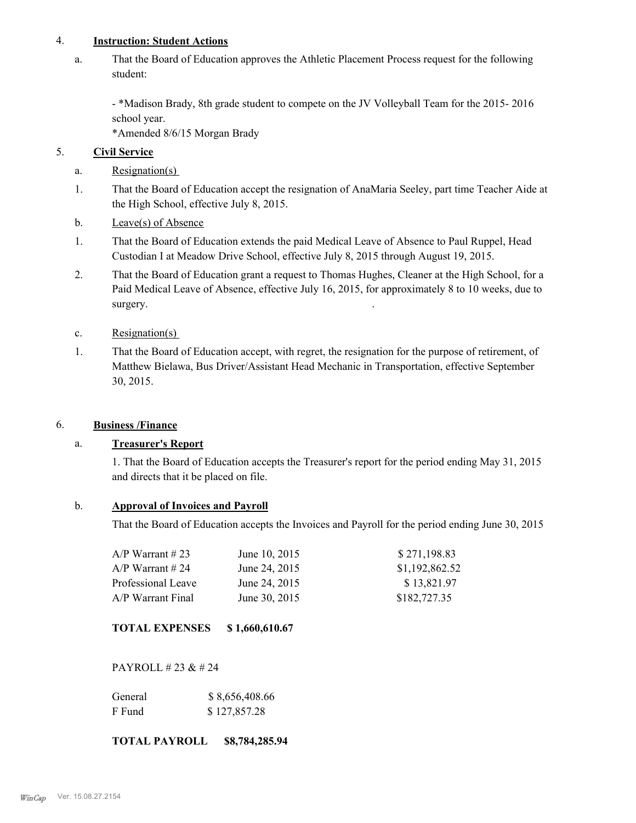# 4. **Instruction: Student Actions**

That the Board of Education approves the Athletic Placement Process request for the following student: a.

- \*Madison Brady, 8th grade student to compete on the JV Volleyball Team for the 2015- 2016 school year.

\*Amended 8/6/15 Morgan Brady

# 5. **Civil Service**

- a. Resignation(s)
- That the Board of Education accept the resignation of AnaMaria Seeley, part time Teacher Aide at the High School, effective July 8, 2015. 1.
- b. Leave(s) of Absence
- That the Board of Education extends the paid Medical Leave of Absence to Paul Ruppel, Head Custodian I at Meadow Drive School, effective July 8, 2015 through August 19, 2015. 1.
- That the Board of Education grant a request to Thomas Hughes, Cleaner at the High School, for a Paid Medical Leave of Absence, effective July 16, 2015, for approximately 8 to 10 weeks, due to surgery. 2.
- c. Resignation(s)
- That the Board of Education accept, with regret, the resignation for the purpose of retirement, of Matthew Bielawa, Bus Driver/Assistant Head Mechanic in Transportation, effective September 30, 2015. 1.

# 6. **Business /Finance**

# a. **Treasurer's Report**

1. That the Board of Education accepts the Treasurer's report for the period ending May 31, 2015 and directs that it be placed on file.

# b. **Approval of Invoices and Payroll**

That the Board of Education accepts the Invoices and Payroll for the period ending June 30, 2015

| $A/P$ Warrant #23  | June 10, 2015 | \$271,198.83   |
|--------------------|---------------|----------------|
| $A/P$ Warrant #24  | June 24, 2015 | \$1,192,862.52 |
| Professional Leave | June 24, 2015 | \$13,821.97    |
| A/P Warrant Final  | June 30, 2015 | \$182,727.35   |

# **TOTAL EXPENSES \$ 1,660,610.67**

PAYROLL # 23 & # 24

| General | \$8,656,408.66 |
|---------|----------------|
| F Fund  | \$127,857.28   |

# **TOTAL PAYROLL \$8,784,285.94**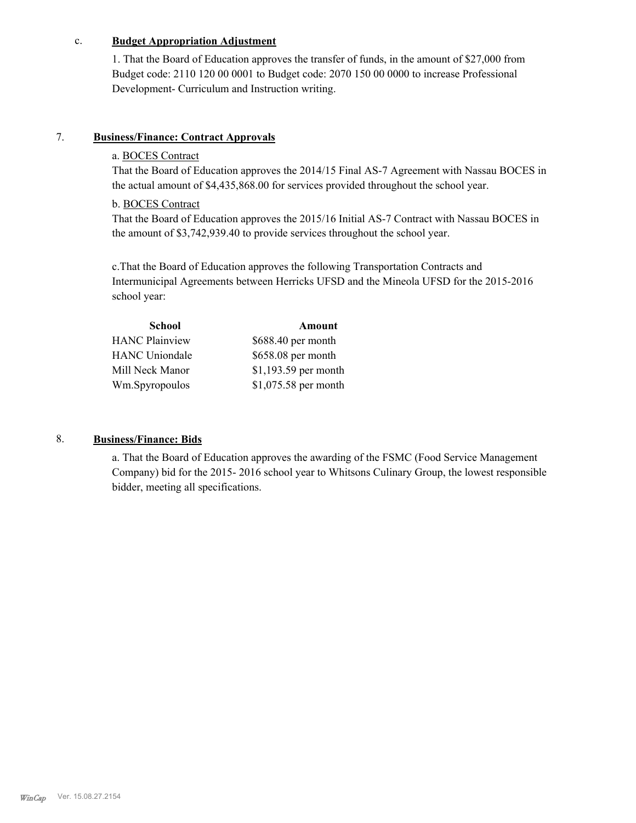# c. **Budget Appropriation Adjustment**

1. That the Board of Education approves the transfer of funds, in the amount of \$27,000 from Budget code: 2110 120 00 0001 to Budget code: 2070 150 00 0000 to increase Professional Development- Curriculum and Instruction writing.

# 7. **Business/Finance: Contract Approvals**

# a. BOCES Contract

That the Board of Education approves the 2014/15 Final AS-7 Agreement with Nassau BOCES in the actual amount of \$4,435,868.00 for services provided throughout the school year.

# b. BOCES Contract

That the Board of Education approves the 2015/16 Initial AS-7 Contract with Nassau BOCES in the amount of \$3,742,939.40 to provide services throughout the school year.

c.That the Board of Education approves the following Transportation Contracts and Intermunicipal Agreements between Herricks UFSD and the Mineola UFSD for the 2015-2016 school year:

| School                | Amount               |
|-----------------------|----------------------|
| <b>HANC Plainview</b> | \$688.40 per month   |
| <b>HANC</b> Uniondale | \$658.08 per month   |
| Mill Neck Manor       | \$1,193.59 per month |
| Wm.Spyropoulos        | \$1,075.58 per month |
|                       |                      |

# 8. **Business/Finance: Bids**

a. That the Board of Education approves the awarding of the FSMC (Food Service Management Company) bid for the 2015- 2016 school year to Whitsons Culinary Group, the lowest responsible bidder, meeting all specifications.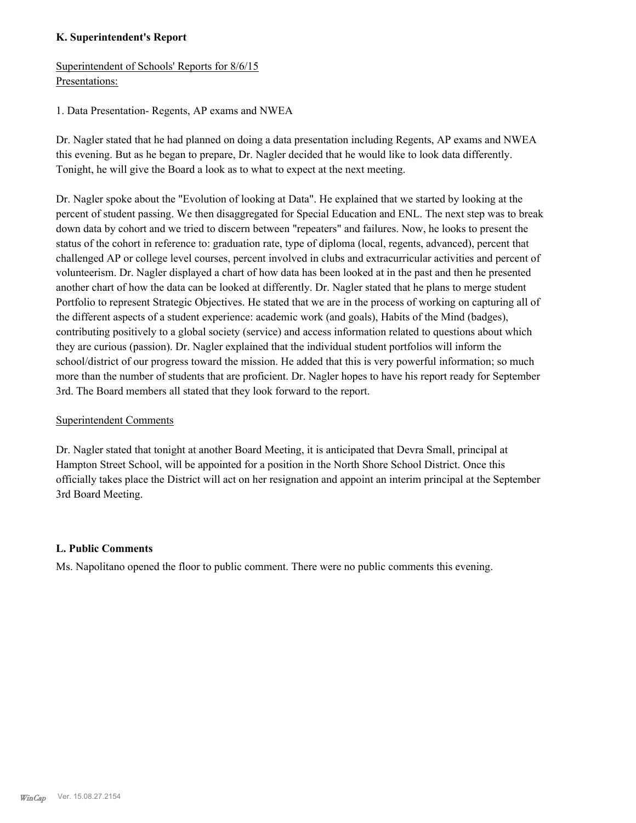# **K. Superintendent's Report**

Superintendent of Schools' Reports for 8/6/15 Presentations:

1. Data Presentation- Regents, AP exams and NWEA

Dr. Nagler stated that he had planned on doing a data presentation including Regents, AP exams and NWEA this evening. But as he began to prepare, Dr. Nagler decided that he would like to look data differently. Tonight, he will give the Board a look as to what to expect at the next meeting.

Dr. Nagler spoke about the "Evolution of looking at Data". He explained that we started by looking at the percent of student passing. We then disaggregated for Special Education and ENL. The next step was to break down data by cohort and we tried to discern between "repeaters" and failures. Now, he looks to present the status of the cohort in reference to: graduation rate, type of diploma (local, regents, advanced), percent that challenged AP or college level courses, percent involved in clubs and extracurricular activities and percent of volunteerism. Dr. Nagler displayed a chart of how data has been looked at in the past and then he presented another chart of how the data can be looked at differently. Dr. Nagler stated that he plans to merge student Portfolio to represent Strategic Objectives. He stated that we are in the process of working on capturing all of the different aspects of a student experience: academic work (and goals), Habits of the Mind (badges), contributing positively to a global society (service) and access information related to questions about which they are curious (passion). Dr. Nagler explained that the individual student portfolios will inform the school/district of our progress toward the mission. He added that this is very powerful information; so much more than the number of students that are proficient. Dr. Nagler hopes to have his report ready for September 3rd. The Board members all stated that they look forward to the report.

# Superintendent Comments

Dr. Nagler stated that tonight at another Board Meeting, it is anticipated that Devra Small, principal at Hampton Street School, will be appointed for a position in the North Shore School District. Once this officially takes place the District will act on her resignation and appoint an interim principal at the September 3rd Board Meeting.

# **L. Public Comments**

Ms. Napolitano opened the floor to public comment. There were no public comments this evening.